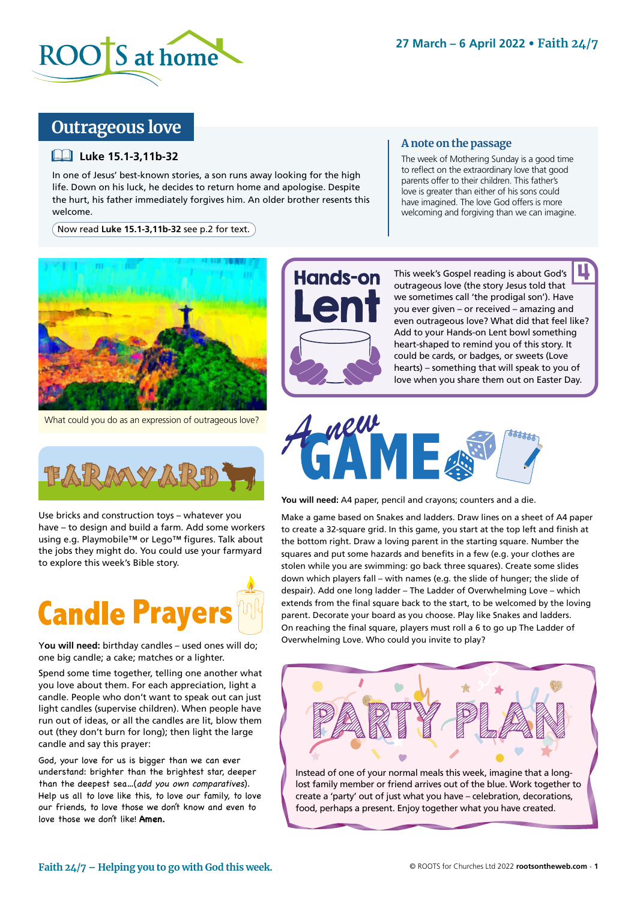

## **Outrageous love**

### **Luke 15.1-3,11b-32**

In one of Jesus' best-known stories, a son runs away looking for the high life. Down on his luck, he decides to return home and apologise. Despite the hurt, his father immediately forgives him. An older brother resents this welcome.

Now read **Luke 15.1-3,11b-32** see p.2 for text.

### **A note on the passage**

The week of Mothering Sunday is a good time to reflect on the extraordinary love that good parents offer to their children. This father's love is greater than either of his sons could have imagined. The love God offers is more welcoming and forgiving than we can imagine.



What could you do as an expression of outrageous love?

Use bricks and construction toys – whatever you have – to design and build a farm. Add some workers using e.g. Playmobile™ or Lego™ figures. Talk about the jobs they might do. You could use your farmyard to explore this week's Bible story.



Y**ou will need:** birthday candles – used ones will do; one big candle; a cake; matches or a lighter.

Spend some time together, telling one another what you love about them. For each appreciation, light a candle. People who don't want to speak out can just light candles (supervise children). When people have run out of ideas, or all the candles are lit, blow them out (they don't burn for long); then light the large candle and say this prayer:

God, your love for us is bigger than we can ever understand: brighter than the brightest star, deeper than the deepest sea…(add you own comparatives). Help us all to love like this, to love our family, to love our friends, to love those we don't know and even to love those we don't like! **Amen.**



This week's Gospel reading is about God's outrageous love (the story Jesus told that we sometimes call 'the prodigal son'). Have you ever given – or received – amazing and even outrageous love? What did that feel like? Add to your Hands-on Lent bowl something heart-shaped to remind you of this story. It could be cards, or badges, or sweets (Love hearts) – something that will speak to you of love when you share them out on Easter Day. <u>պ</u>



**You will need:** A4 paper, pencil and crayons; counters and a die.

Make a game based on Snakes and ladders. Draw lines on a sheet of A4 paper to create a 32-square grid. In this game, you start at the top left and finish at the bottom right. Draw a loving parent in the starting square. Number the squares and put some hazards and benefits in a few (e.g. your clothes are stolen while you are swimming: go back three squares). Create some slides down which players fall – with names (e.g. the slide of hunger; the slide of despair). Add one long ladder – The Ladder of Overwhelming Love – which extends from the final square back to the start, to be welcomed by the loving parent. Decorate your board as you choose. Play like Snakes and ladders. On reaching the final square, players must roll a 6 to go up The Ladder of Overwhelming Love. Who could you invite to play?



Instead of one of your normal meals this week, imagine that a longlost family member or friend arrives out of the blue. Work together to create a 'party' out of just what you have – celebration, decorations, food, perhaps a present. Enjoy together what you have created.